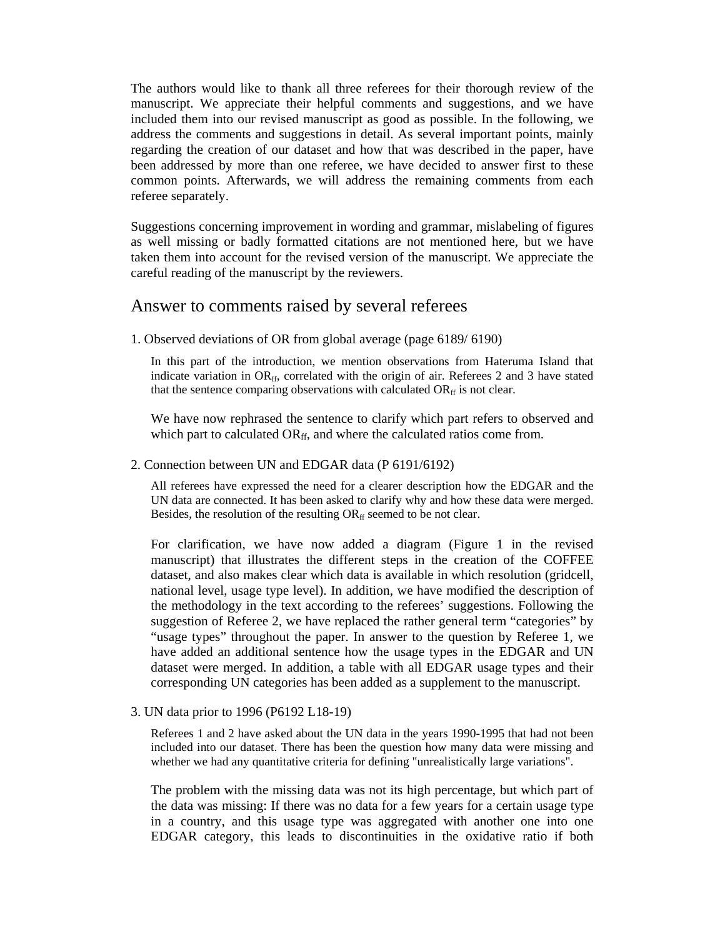The authors would like to thank all three referees for their thorough review of the manuscript. We appreciate their helpful comments and suggestions, and we have included them into our revised manuscript as good as possible. In the following, we address the comments and suggestions in detail. As several important points, mainly regarding the creation of our dataset and how that was described in the paper, have been addressed by more than one referee, we have decided to answer first to these common points. Afterwards, we will address the remaining comments from each referee separately.

Suggestions concerning improvement in wording and grammar, mislabeling of figures as well missing or badly formatted citations are not mentioned here, but we have taken them into account for the revised version of the manuscript. We appreciate the careful reading of the manuscript by the reviewers.

# Answer to comments raised by several referees

1. Observed deviations of OR from global average (page 6189/ 6190)

In this part of the introduction, we mention observations from Hateruma Island that indicate variation in  $OR_{ff}$ , correlated with the origin of air. Referees 2 and 3 have stated that the sentence comparing observations with calculated  $OR<sub>ff</sub>$  is not clear.

We have now rephrased the sentence to clarify which part refers to observed and which part to calculated OR<sub>ff</sub>, and where the calculated ratios come from.

### 2. Connection between UN and EDGAR data (P 6191/6192)

All referees have expressed the need for a clearer description how the EDGAR and the UN data are connected. It has been asked to clarify why and how these data were merged. Besides, the resolution of the resulting OR<sub>ff</sub> seemed to be not clear.

For clarification, we have now added a diagram (Figure 1 in the revised manuscript) that illustrates the different steps in the creation of the COFFEE dataset, and also makes clear which data is available in which resolution (gridcell, national level, usage type level). In addition, we have modified the description of the methodology in the text according to the referees' suggestions. Following the suggestion of Referee 2, we have replaced the rather general term "categories" by "usage types" throughout the paper. In answer to the question by Referee 1, we have added an additional sentence how the usage types in the EDGAR and UN dataset were merged. In addition, a table with all EDGAR usage types and their corresponding UN categories has been added as a supplement to the manuscript.

## 3. UN data prior to 1996 (P6192 L18-19)

Referees 1 and 2 have asked about the UN data in the years 1990-1995 that had not been included into our dataset. There has been the question how many data were missing and whether we had any quantitative criteria for defining "unrealistically large variations".

The problem with the missing data was not its high percentage, but which part of the data was missing: If there was no data for a few years for a certain usage type in a country, and this usage type was aggregated with another one into one EDGAR category, this leads to discontinuities in the oxidative ratio if both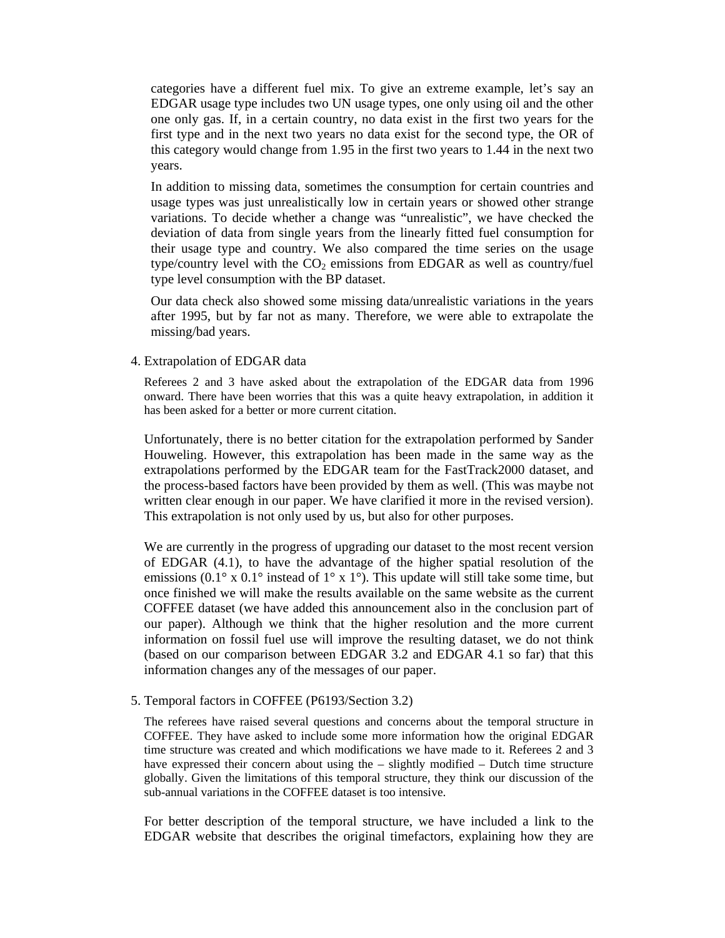categories have a different fuel mix. To give an extreme example, let's say an EDGAR usage type includes two UN usage types, one only using oil and the other one only gas. If, in a certain country, no data exist in the first two years for the first type and in the next two years no data exist for the second type, the OR of this category would change from 1.95 in the first two years to 1.44 in the next two years.

In addition to missing data, sometimes the consumption for certain countries and usage types was just unrealistically low in certain years or showed other strange variations. To decide whether a change was "unrealistic", we have checked the deviation of data from single years from the linearly fitted fuel consumption for their usage type and country. We also compared the time series on the usage type/country level with the  $CO<sub>2</sub>$  emissions from EDGAR as well as country/fuel type level consumption with the BP dataset.

Our data check also showed some missing data/unrealistic variations in the years after 1995, but by far not as many. Therefore, we were able to extrapolate the missing/bad years.

#### 4. Extrapolation of EDGAR data

Referees 2 and 3 have asked about the extrapolation of the EDGAR data from 1996 onward. There have been worries that this was a quite heavy extrapolation, in addition it has been asked for a better or more current citation.

Unfortunately, there is no better citation for the extrapolation performed by Sander Houweling. However, this extrapolation has been made in the same way as the extrapolations performed by the EDGAR team for the FastTrack2000 dataset, and the process-based factors have been provided by them as well. (This was maybe not written clear enough in our paper. We have clarified it more in the revised version). This extrapolation is not only used by us, but also for other purposes.

We are currently in the progress of upgrading our dataset to the most recent version of EDGAR (4.1), to have the advantage of the higher spatial resolution of the emissions (0.1° x 0.1° instead of  $1^\circ$  x 1°). This update will still take some time, but once finished we will make the results available on the same website as the current COFFEE dataset (we have added this announcement also in the conclusion part of our paper). Although we think that the higher resolution and the more current information on fossil fuel use will improve the resulting dataset, we do not think (based on our comparison between EDGAR 3.2 and EDGAR 4.1 so far) that this information changes any of the messages of our paper.

#### 5. Temporal factors in COFFEE (P6193/Section 3.2)

The referees have raised several questions and concerns about the temporal structure in COFFEE. They have asked to include some more information how the original EDGAR time structure was created and which modifications we have made to it. Referees 2 and 3 have expressed their concern about using the – slightly modified – Dutch time structure globally. Given the limitations of this temporal structure, they think our discussion of the sub-annual variations in the COFFEE dataset is too intensive.

For better description of the temporal structure, we have included a link to the EDGAR website that describes the original timefactors, explaining how they are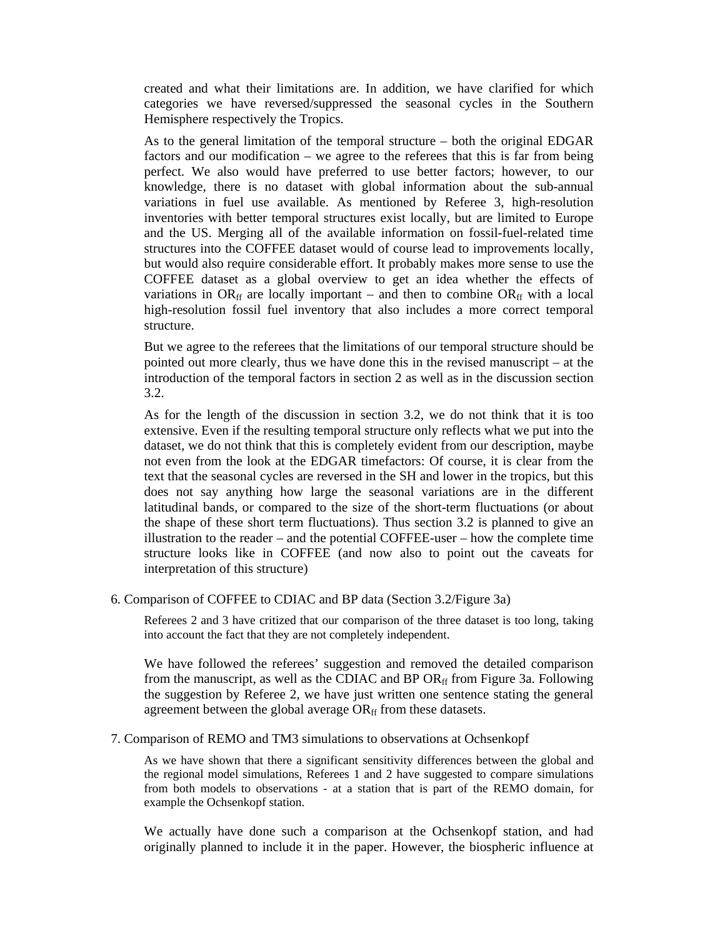created and what their limitations are. In addition, we have clarified for which categories we have reversed/suppressed the seasonal cycles in the Southern Hemisphere respectively the Tropics.

As to the general limitation of the temporal structure – both the original EDGAR factors and our modification – we agree to the referees that this is far from being perfect. We also would have preferred to use better factors; however, to our knowledge, there is no dataset with global information about the sub-annual variations in fuel use available. As mentioned by Referee 3, high-resolution inventories with better temporal structures exist locally, but are limited to Europe and the US. Merging all of the available information on fossil-fuel-related time structures into the COFFEE dataset would of course lead to improvements locally, but would also require considerable effort. It probably makes more sense to use the COFFEE dataset as a global overview to get an idea whether the effects of variations in  $OR<sub>ff</sub>$  are locally important – and then to combine  $OR<sub>ff</sub>$  with a local high-resolution fossil fuel inventory that also includes a more correct temporal structure.

But we agree to the referees that the limitations of our temporal structure should be pointed out more clearly, thus we have done this in the revised manuscript – at the introduction of the temporal factors in section 2 as well as in the discussion section 3.2.

As for the length of the discussion in section 3.2, we do not think that it is too extensive. Even if the resulting temporal structure only reflects what we put into the dataset, we do not think that this is completely evident from our description, maybe not even from the look at the EDGAR timefactors: Of course, it is clear from the text that the seasonal cycles are reversed in the SH and lower in the tropics, but this does not say anything how large the seasonal variations are in the different latitudinal bands, or compared to the size of the short-term fluctuations (or about the shape of these short term fluctuations). Thus section 3.2 is planned to give an illustration to the reader – and the potential COFFEE-user – how the complete time structure looks like in COFFEE (and now also to point out the caveats for interpretation of this structure)

## 6. Comparison of COFFEE to CDIAC and BP data (Section 3.2/Figure 3a)

Referees 2 and 3 have critized that our comparison of the three dataset is too long, taking into account the fact that they are not completely independent.

We have followed the referees' suggestion and removed the detailed comparison from the manuscript, as well as the CDIAC and BP  $OR<sub>ff</sub>$  from Figure 3a. Following the suggestion by Referee 2, we have just written one sentence stating the general agreement between the global average  $OR<sub>ff</sub>$  from these datasets.

#### 7. Comparison of REMO and TM3 simulations to observations at Ochsenkopf

As we have shown that there a significant sensitivity differences between the global and the regional model simulations, Referees 1 and 2 have suggested to compare simulations from both models to observations - at a station that is part of the REMO domain, for example the Ochsenkopf station.

We actually have done such a comparison at the Ochsenkopf station, and had originally planned to include it in the paper. However, the biospheric influence at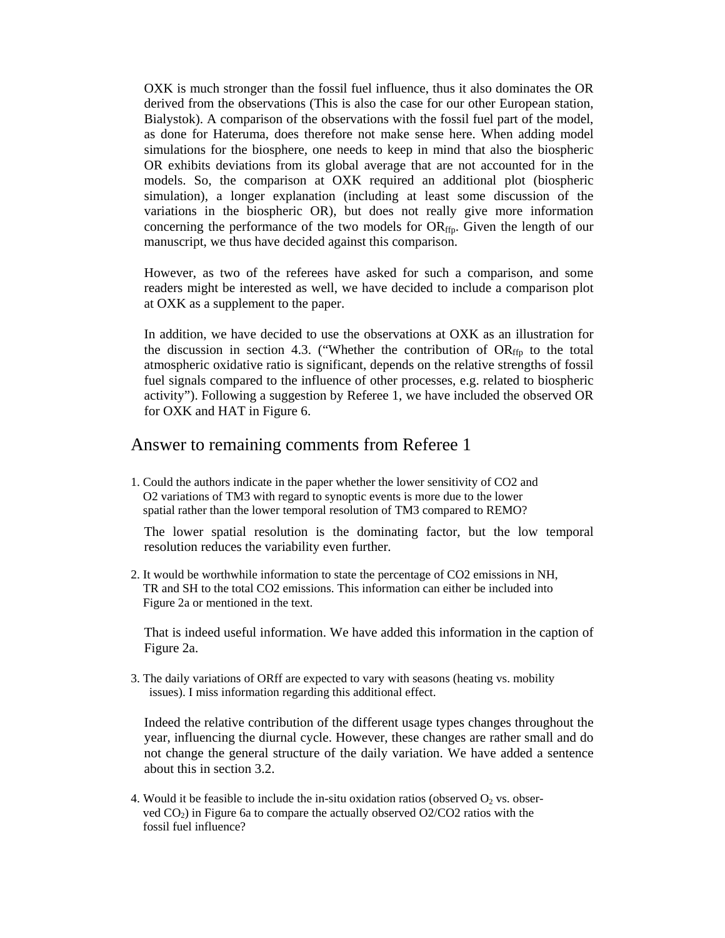OXK is much stronger than the fossil fuel influence, thus it also dominates the OR derived from the observations (This is also the case for our other European station, Bialystok). A comparison of the observations with the fossil fuel part of the model, as done for Hateruma, does therefore not make sense here. When adding model simulations for the biosphere, one needs to keep in mind that also the biospheric OR exhibits deviations from its global average that are not accounted for in the models. So, the comparison at OXK required an additional plot (biospheric simulation), a longer explanation (including at least some discussion of the variations in the biospheric OR), but does not really give more information concerning the performance of the two models for  $OR_{\text{ffp}}$ . Given the length of our manuscript, we thus have decided against this comparison.

However, as two of the referees have asked for such a comparison, and some readers might be interested as well, we have decided to include a comparison plot at OXK as a supplement to the paper.

In addition, we have decided to use the observations at OXK as an illustration for the discussion in section 4.3. ("Whether the contribution of  $OR_{\text{ffp}}$  to the total atmospheric oxidative ratio is significant, depends on the relative strengths of fossil fuel signals compared to the influence of other processes, e.g. related to biospheric activity"). Following a suggestion by Referee 1, we have included the observed OR for OXK and HAT in Figure 6.

## Answer to remaining comments from Referee 1

1. Could the authors indicate in the paper whether the lower sensitivity of CO2 and O2 variations of TM3 with regard to synoptic events is more due to the lower spatial rather than the lower temporal resolution of TM3 compared to REMO?

The lower spatial resolution is the dominating factor, but the low temporal resolution reduces the variability even further*.* 

2. It would be worthwhile information to state the percentage of CO2 emissions in NH, TR and SH to the total CO2 emissions. This information can either be included into Figure 2a or mentioned in the text.

That is indeed useful information. We have added this information in the caption of Figure 2a.

3. The daily variations of ORff are expected to vary with seasons (heating vs. mobility issues). I miss information regarding this additional effect.

Indeed the relative contribution of the different usage types changes throughout the year, influencing the diurnal cycle. However, these changes are rather small and do not change the general structure of the daily variation. We have added a sentence about this in section 3.2.

4. Would it be feasible to include the in-situ oxidation ratios (observed  $O_2$  vs. obser ved CO2) in Figure 6a to compare the actually observed O2/CO2 ratios with the fossil fuel influence?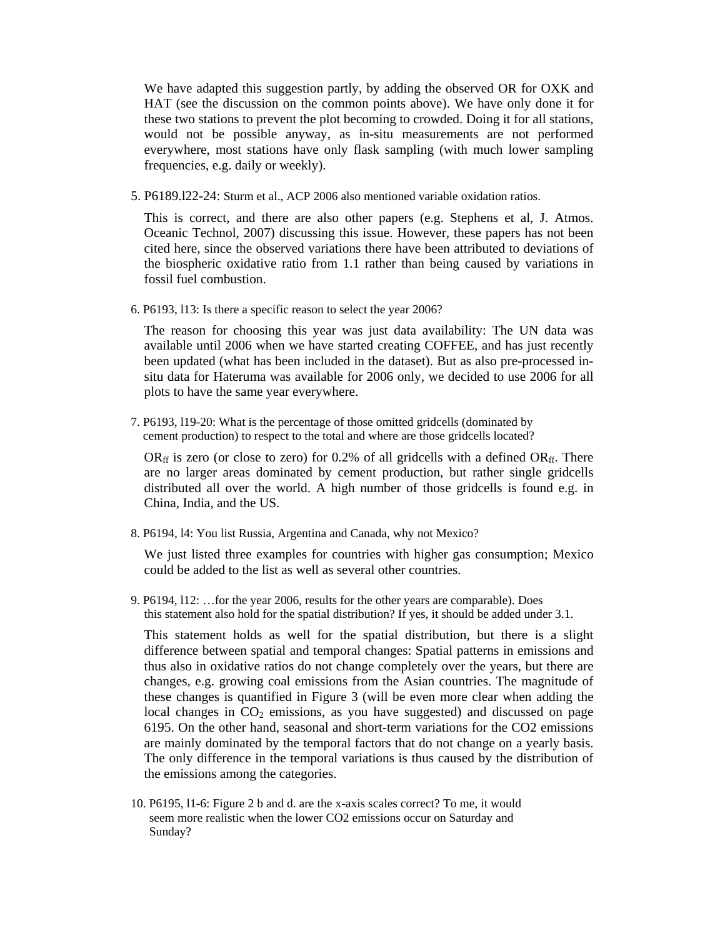We have adapted this suggestion partly, by adding the observed OR for OXK and HAT (see the discussion on the common points above). We have only done it for these two stations to prevent the plot becoming to crowded. Doing it for all stations, would not be possible anyway, as in-situ measurements are not performed everywhere, most stations have only flask sampling (with much lower sampling frequencies, e.g. daily or weekly).

5. P6189.l22-24: Sturm et al., ACP 2006 also mentioned variable oxidation ratios.

This is correct, and there are also other papers (e.g. Stephens et al, J. Atmos. Oceanic Technol, 2007) discussing this issue. However, these papers has not been cited here, since the observed variations there have been attributed to deviations of the biospheric oxidative ratio from 1.1 rather than being caused by variations in fossil fuel combustion.

6. P6193, l13: Is there a specific reason to select the year 2006?

The reason for choosing this year was just data availability: The UN data was available until 2006 when we have started creating COFFEE, and has just recently been updated (what has been included in the dataset). But as also pre-processed insitu data for Hateruma was available for 2006 only, we decided to use 2006 for all plots to have the same year everywhere.

7. P6193, l19-20: What is the percentage of those omitted gridcells (dominated by cement production) to respect to the total and where are those gridcells located?

OR<sub>ff</sub> is zero (or close to zero) for 0.2% of all gridcells with a defined OR<sub>ff</sub>. There are no larger areas dominated by cement production, but rather single gridcells distributed all over the world. A high number of those gridcells is found e.g. in China, India, and the US.

8. P6194, l4: You list Russia, Argentina and Canada, why not Mexico?

We just listed three examples for countries with higher gas consumption; Mexico could be added to the list as well as several other countries.

9. P6194, l12: …for the year 2006, results for the other years are comparable). Does this statement also hold for the spatial distribution? If yes, it should be added under 3.1.

This statement holds as well for the spatial distribution, but there is a slight difference between spatial and temporal changes: Spatial patterns in emissions and thus also in oxidative ratios do not change completely over the years, but there are changes, e.g. growing coal emissions from the Asian countries. The magnitude of these changes is quantified in Figure 3 (will be even more clear when adding the local changes in  $CO<sub>2</sub>$  emissions, as you have suggested) and discussed on page 6195. On the other hand, seasonal and short-term variations for the CO2 emissions are mainly dominated by the temporal factors that do not change on a yearly basis. The only difference in the temporal variations is thus caused by the distribution of the emissions among the categories.

10. P6195, l1-6: Figure 2 b and d. are the x-axis scales correct? To me, it would seem more realistic when the lower CO2 emissions occur on Saturday and Sunday?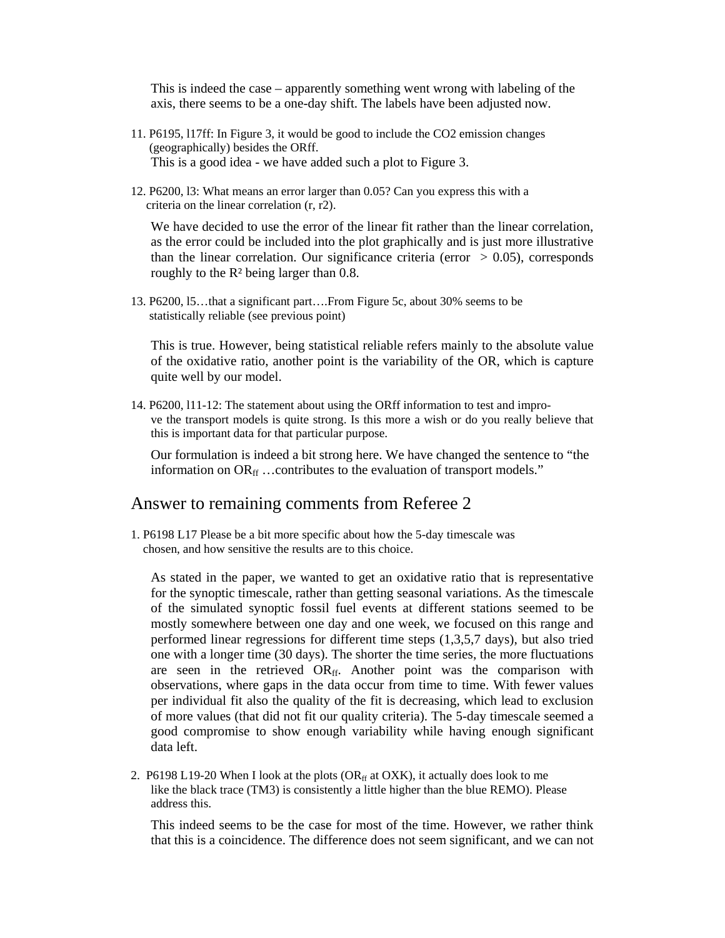This is indeed the case – apparently something went wrong with labeling of the axis, there seems to be a one-day shift. The labels have been adjusted now.

- 11. P6195, l17ff: In Figure 3, it would be good to include the CO2 emission changes (geographically) besides the ORff. This is a good idea - we have added such a plot to Figure 3.
- 12. P6200, l3: What means an error larger than 0.05? Can you express this with a criteria on the linear correlation (r, r2).

We have decided to use the error of the linear fit rather than the linear correlation, as the error could be included into the plot graphically and is just more illustrative than the linear correlation. Our significance criteria (error  $> 0.05$ ), corresponds roughly to the R² being larger than 0.8.

13. P6200, l5…that a significant part….From Figure 5c, about 30% seems to be statistically reliable (see previous point)

This is true. However, being statistical reliable refers mainly to the absolute value of the oxidative ratio, another point is the variability of the OR, which is capture quite well by our model.

14. P6200, l11-12: The statement about using the ORff information to test and improve the transport models is quite strong. Is this more a wish or do you really believe that this is important data for that particular purpose.

Our formulation is indeed a bit strong here. We have changed the sentence to "the information on  $OR_{ff}$  ...contributes to the evaluation of transport models."

# Answer to remaining comments from Referee 2

1. P6198 L17 Please be a bit more specific about how the 5-day timescale was chosen, and how sensitive the results are to this choice.

As stated in the paper, we wanted to get an oxidative ratio that is representative for the synoptic timescale, rather than getting seasonal variations. As the timescale of the simulated synoptic fossil fuel events at different stations seemed to be mostly somewhere between one day and one week, we focused on this range and performed linear regressions for different time steps (1,3,5,7 days), but also tried one with a longer time (30 days). The shorter the time series, the more fluctuations are seen in the retrieved OR<sub>ff</sub>. Another point was the comparison with observations, where gaps in the data occur from time to time. With fewer values per individual fit also the quality of the fit is decreasing, which lead to exclusion of more values (that did not fit our quality criteria). The 5-day timescale seemed a good compromise to show enough variability while having enough significant data left.

2. P6198 L19-20 When I look at the plots ( $OR<sub>ff</sub>$  at OXK), it actually does look to me like the black trace (TM3) is consistently a little higher than the blue REMO). Please address this.

This indeed seems to be the case for most of the time. However, we rather think that this is a coincidence. The difference does not seem significant, and we can not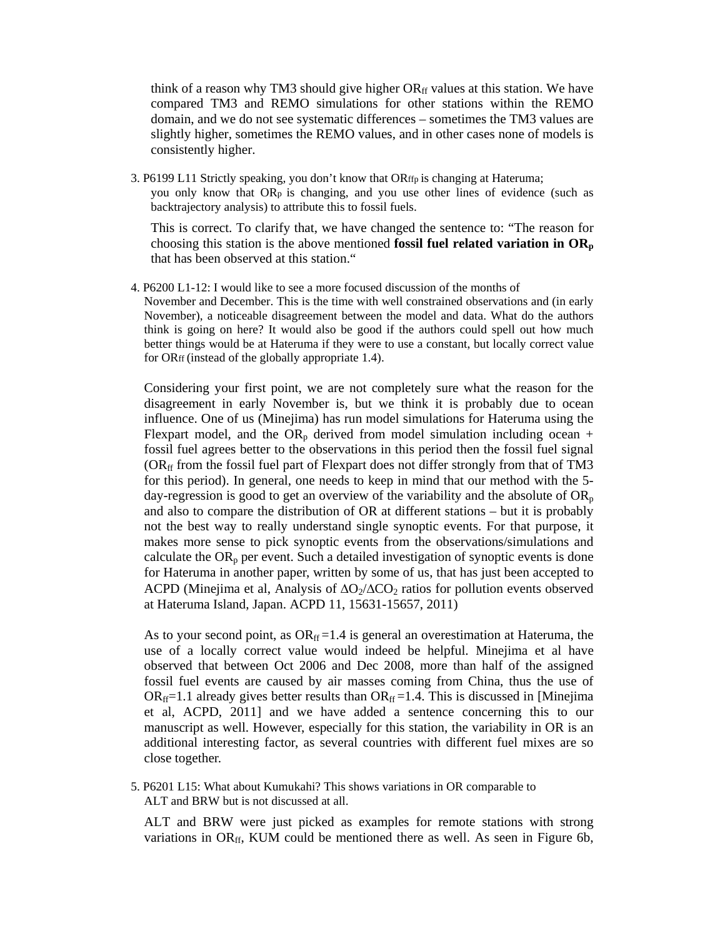think of a reason why TM3 should give higher  $OR<sub>ff</sub>$  values at this station. We have compared TM3 and REMO simulations for other stations within the REMO domain, and we do not see systematic differences – sometimes the TM3 values are slightly higher, sometimes the REMO values, and in other cases none of models is consistently higher.

3. P6199 L11 Strictly speaking, you don't know that ORffp is changing at Hateruma; you only know that ORp is changing, and you use other lines of evidence (such as backtrajectory analysis) to attribute this to fossil fuels.

This is correct. To clarify that, we have changed the sentence to: "The reason for choosing this station is the above mentioned **fossil fuel related variation in**  $OR_p$ that has been observed at this station."

4. P6200 L1-12: I would like to see a more focused discussion of the months of November and December. This is the time with well constrained observations and (in early November), a noticeable disagreement between the model and data. What do the authors think is going on here? It would also be good if the authors could spell out how much better things would be at Hateruma if they were to use a constant, but locally correct value for ORff (instead of the globally appropriate 1.4).

 Considering your first point, we are not completely sure what the reason for the disagreement in early November is, but we think it is probably due to ocean influence. One of us (Minejima) has run model simulations for Hateruma using the Flexpart model, and the  $OR_p$  derived from model simulation including ocean + fossil fuel agrees better to the observations in this period then the fossil fuel signal  $(OR<sub>ff</sub>$  from the fossil fuel part of Flexpart does not differ strongly from that of TM3 for this period). In general, one needs to keep in mind that our method with the 5 day-regression is good to get an overview of the variability and the absolute of  $OR_p$ and also to compare the distribution of OR at different stations – but it is probably not the best way to really understand single synoptic events. For that purpose, it makes more sense to pick synoptic events from the observations/simulations and calculate the  $OR<sub>p</sub>$  per event. Such a detailed investigation of synoptic events is done for Hateruma in another paper, written by some of us, that has just been accepted to ACPD (Minejima et al, Analysis of  $\Delta O_2/\Delta CO_2$  ratios for pollution events observed at Hateruma Island, Japan. ACPD 11, 15631-15657, 2011)

As to your second point, as  $OR_f = 1.4$  is general an overestimation at Hateruma, the use of a locally correct value would indeed be helpful. Minejima et al have observed that between Oct 2006 and Dec 2008, more than half of the assigned fossil fuel events are caused by air masses coming from China, thus the use of  $OR<sub>ff</sub>=1.1$  already gives better results than  $OR<sub>ff</sub>=1.4$ . This is discussed in [Minejima et al, ACPD, 2011] and we have added a sentence concerning this to our manuscript as well. However, especially for this station, the variability in OR is an additional interesting factor, as several countries with different fuel mixes are so close together.

5. P6201 L15: What about Kumukahi? This shows variations in OR comparable to ALT and BRW but is not discussed at all.

ALT and BRW were just picked as examples for remote stations with strong variations in  $OR_{ff}$ , KUM could be mentioned there as well. As seen in Figure 6b,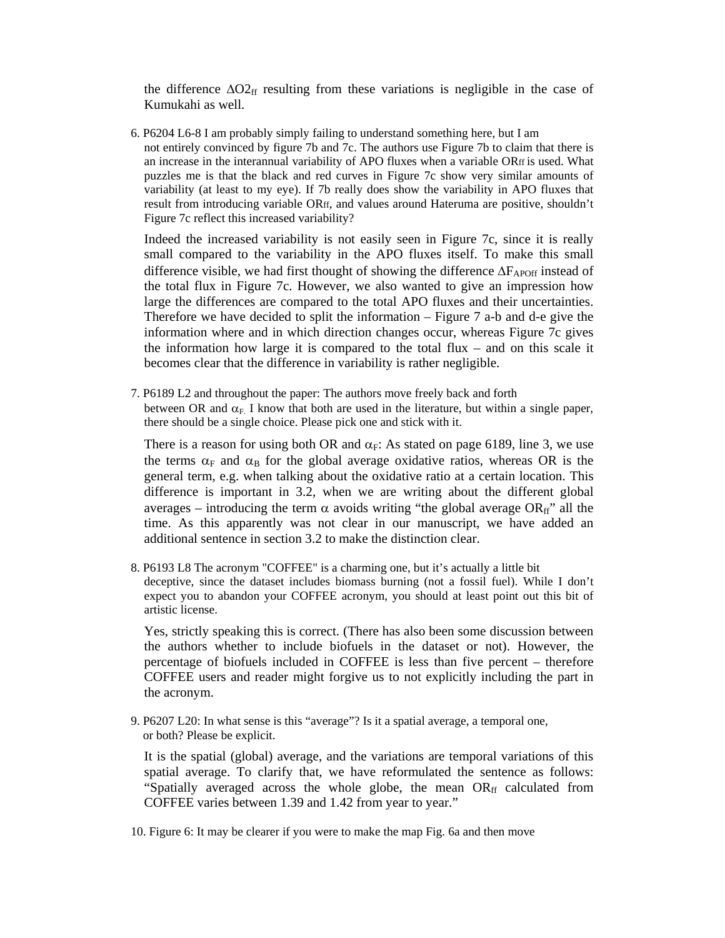the difference  $\Delta O_{2f}$  resulting from these variations is negligible in the case of Kumukahi as well.

6. P6204 L6-8 I am probably simply failing to understand something here, but I am not entirely convinced by figure 7b and 7c. The authors use Figure 7b to claim that there is an increase in the interannual variability of APO fluxes when a variable ORff is used. What puzzles me is that the black and red curves in Figure 7c show very similar amounts of variability (at least to my eye). If 7b really does show the variability in APO fluxes that result from introducing variable ORff, and values around Hateruma are positive, shouldn't Figure 7c reflect this increased variability?

Indeed the increased variability is not easily seen in Figure 7c, since it is really small compared to the variability in the APO fluxes itself. To make this small difference visible, we had first thought of showing the difference  $\Delta F_{\text{APOff}}$  instead of the total flux in Figure 7c. However, we also wanted to give an impression how large the differences are compared to the total APO fluxes and their uncertainties. Therefore we have decided to split the information – Figure 7 a-b and d-e give the information where and in which direction changes occur, whereas Figure 7c gives the information how large it is compared to the total flux – and on this scale it becomes clear that the difference in variability is rather negligible.

7. P6189 L2 and throughout the paper: The authors move freely back and forth between OR and  $\alpha_F$ . I know that both are used in the literature, but within a single paper, there should be a single choice. Please pick one and stick with it.

There is a reason for using both OR and  $\alpha_F$ : As stated on page 6189, line 3, we use the terms  $\alpha_F$  and  $\alpha_B$  for the global average oxidative ratios, whereas OR is the general term, e.g. when talking about the oxidative ratio at a certain location. This difference is important in 3.2, when we are writing about the different global averages – introducing the term  $\alpha$  avoids writing "the global average OR<sub>ff</sub>" all the time. As this apparently was not clear in our manuscript, we have added an additional sentence in section 3.2 to make the distinction clear.

8. P6193 L8 The acronym "COFFEE" is a charming one, but it's actually a little bit deceptive, since the dataset includes biomass burning (not a fossil fuel). While I don't expect you to abandon your COFFEE acronym, you should at least point out this bit of artistic license.

Yes, strictly speaking this is correct. (There has also been some discussion between the authors whether to include biofuels in the dataset or not). However, the percentage of biofuels included in COFFEE is less than five percent – therefore COFFEE users and reader might forgive us to not explicitly including the part in the acronym.

9. P6207 L20: In what sense is this "average"? Is it a spatial average, a temporal one, or both? Please be explicit.

It is the spatial (global) average, and the variations are temporal variations of this spatial average. To clarify that, we have reformulated the sentence as follows: "Spatially averaged across the whole globe, the mean  $OR<sub>ff</sub>$  calculated from COFFEE varies between 1.39 and 1.42 from year to year."

10. Figure 6: It may be clearer if you were to make the map Fig. 6a and then move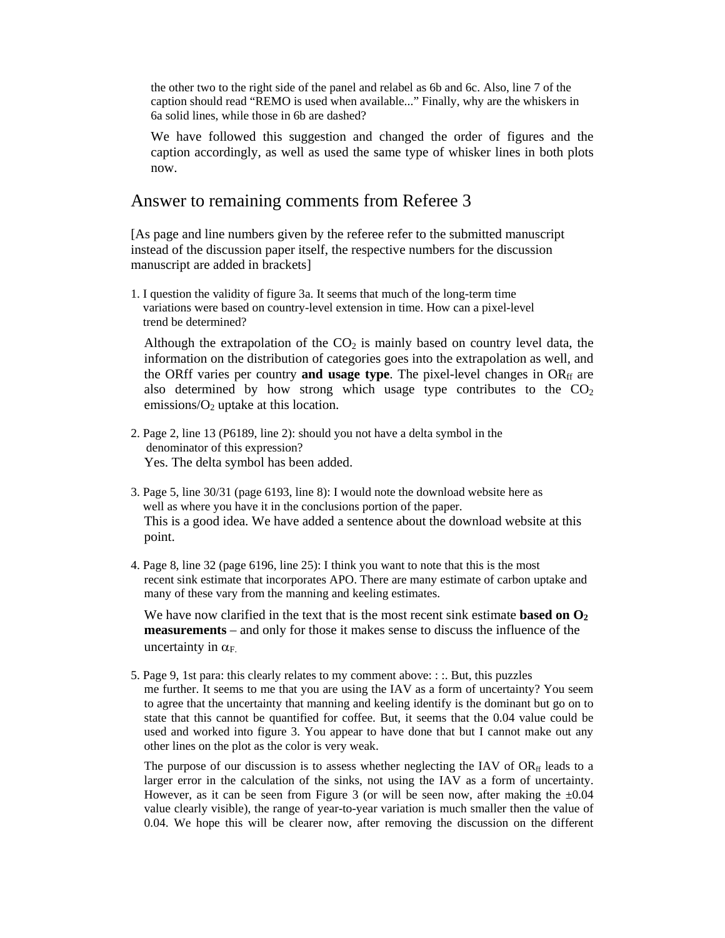the other two to the right side of the panel and relabel as 6b and 6c. Also, line 7 of the caption should read "REMO is used when available..." Finally, why are the whiskers in 6a solid lines, while those in 6b are dashed?

We have followed this suggestion and changed the order of figures and the caption accordingly, as well as used the same type of whisker lines in both plots now.

# Answer to remaining comments from Referee 3

[As page and line numbers given by the referee refer to the submitted manuscript instead of the discussion paper itself, the respective numbers for the discussion manuscript are added in brackets]

1. I question the validity of figure 3a. It seems that much of the long-term time variations were based on country-level extension in time. How can a pixel-level trend be determined?

Although the extrapolation of the  $CO<sub>2</sub>$  is mainly based on country level data, the information on the distribution of categories goes into the extrapolation as well, and the ORff varies per country **and usage type**. The pixel-level changes in OR<sub>ff</sub> are also determined by how strong which usage type contributes to the  $CO<sub>2</sub>$ emissions/ $O_2$  uptake at this location.

- 2. Page 2, line 13 (P6189, line 2): should you not have a delta symbol in the denominator of this expression? Yes. The delta symbol has been added.
- 3. Page 5, line 30/31 (page 6193, line 8): I would note the download website here as well as where you have it in the conclusions portion of the paper. This is a good idea. We have added a sentence about the download website at this point.
- 4. Page 8, line 32 (page 6196, line 25): I think you want to note that this is the most recent sink estimate that incorporates APO. There are many estimate of carbon uptake and many of these vary from the manning and keeling estimates.

We have now clarified in the text that is the most recent sink estimate **based on**  $\mathbf{O}_2$ **measurements** – and only for those it makes sense to discuss the influence of the uncertainty in  $\alpha_F$ .

5. Page 9, 1st para: this clearly relates to my comment above: : :. But, this puzzles me further. It seems to me that you are using the IAV as a form of uncertainty? You seem to agree that the uncertainty that manning and keeling identify is the dominant but go on to state that this cannot be quantified for coffee. But, it seems that the 0.04 value could be used and worked into figure 3. You appear to have done that but I cannot make out any other lines on the plot as the color is very weak.

The purpose of our discussion is to assess whether neglecting the IAV of  $OR<sub>ff</sub>$  leads to a larger error in the calculation of the sinks, not using the IAV as a form of uncertainty. However, as it can be seen from Figure 3 (or will be seen now, after making the  $\pm 0.04$ value clearly visible), the range of year-to-year variation is much smaller then the value of 0.04. We hope this will be clearer now, after removing the discussion on the different